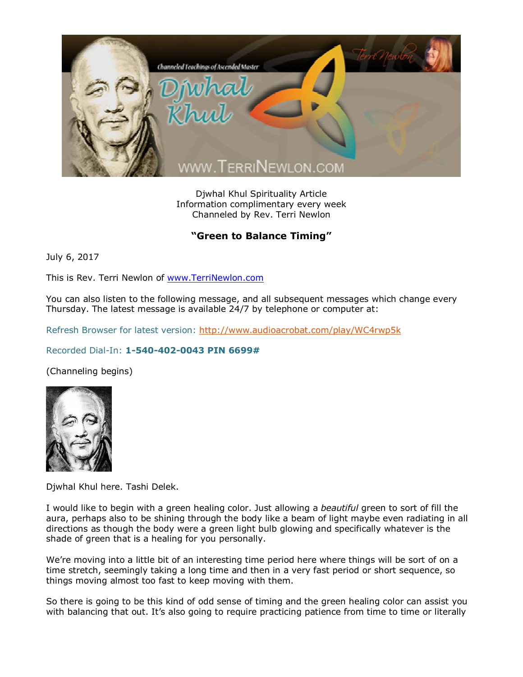

Djwhal Khul Spirituality Article Information complimentary every week Channeled by Rev. Terri Newlon

## **"Green to Balance Timing"**

July 6, 2017

This is Rev. Terri Newlon of [www.TerriNewlon.com](http://www.terrinewlon.com/)

You can also listen to the following message, and all subsequent messages which change every Thursday. The latest message is available 24/7 by telephone or computer at:

Refresh Browser for latest version: <http://www.audioacrobat.com/play/WC4rwp5k>

## Recorded Dial-In: **1-540-402-0043 PIN 6699#**

(Channeling begins)



Djwhal Khul here. Tashi Delek.

I would like to begin with a green healing color. Just allowing a *beautiful* green to sort of fill the aura, perhaps also to be shining through the body like a beam of light maybe even radiating in all directions as though the body were a green light bulb glowing and specifically whatever is the shade of green that is a healing for you personally.

We're moving into a little bit of an interesting time period here where things will be sort of on a time stretch, seemingly taking a long time and then in a very fast period or short sequence, so things moving almost too fast to keep moving with them.

So there is going to be this kind of odd sense of timing and the green healing color can assist you with balancing that out. It's also going to require practicing patience from time to time or literally